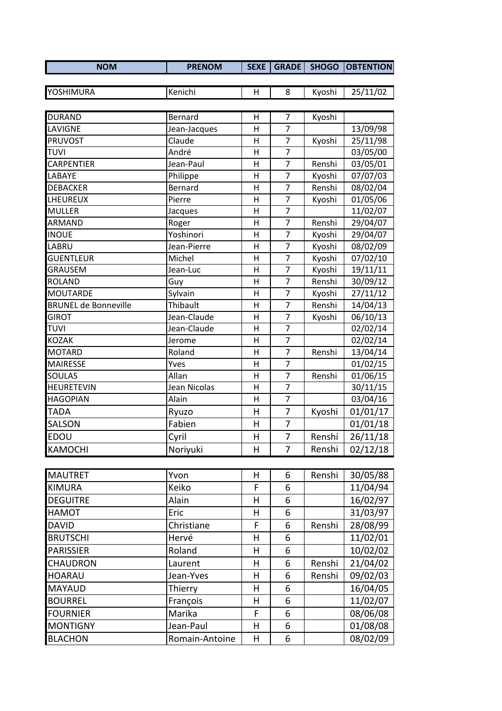| <b>NOM</b>        | <b>PRENOM</b> | <b>SEXE</b> |        | <b>GRADE   SHOGO   OBTENTION </b> |
|-------------------|---------------|-------------|--------|-----------------------------------|
|                   |               |             |        |                                   |
| <b>IYOSHIMURA</b> | lKenichi      |             | Kvoshi | 25/11/02                          |

| <b>DURAND</b>               | Bernard        | н       | $\overline{7}$ | Kyoshi |          |
|-----------------------------|----------------|---------|----------------|--------|----------|
| LAVIGNE                     | Jean-Jacques   | н       | $\overline{7}$ |        | 13/09/98 |
| <b>PRUVOST</b>              | Claude         | H       | $\overline{7}$ | Kyoshi | 25/11/98 |
| <b>TUVI</b>                 | André          | H       | $\overline{7}$ |        | 03/05/00 |
| <b>CARPENTIER</b>           | Jean-Paul      | Η       | $\overline{7}$ | Renshi | 03/05/01 |
| LABAYE                      | Philippe       | Н       | 7              | Kyoshi | 07/07/03 |
| <b>DEBACKER</b>             | Bernard        | H       | $\overline{7}$ | Renshi | 08/02/04 |
| LHEUREUX                    | Pierre         | Н       | $\overline{7}$ | Kyoshi | 01/05/06 |
| <b>MULLER</b>               | Jacques        | H       | $\overline{7}$ |        | 11/02/07 |
| ARMAND                      | Roger          | H       | $\overline{7}$ | Renshi | 29/04/07 |
| <b>INOUE</b>                | Yoshinori      | Н       | $\overline{7}$ | Kyoshi | 29/04/07 |
| LABRU                       | Jean-Pierre    | н       | $\overline{7}$ | Kyoshi | 08/02/09 |
| <b>GUENTLEUR</b>            | Michel         | H       | $\overline{7}$ | Kyoshi | 07/02/10 |
| <b>GRAUSEM</b>              | Jean-Luc       | H       | $\overline{7}$ | Kyoshi | 19/11/11 |
| <b>ROLAND</b>               | Guy            | Н       | $\overline{7}$ | Renshi | 30/09/12 |
| <b>MOUTARDE</b>             | Sylvain        | H       | $\overline{7}$ | Kyoshi | 27/11/12 |
| <b>BRUNEL de Bonneville</b> | Thibault       | н       | $\overline{7}$ | Renshi | 14/04/13 |
| <b>GIROT</b>                | Jean-Claude    | н       | 7              | Kyoshi | 06/10/13 |
| <b>TUVI</b>                 | Jean-Claude    | H       | $\overline{7}$ |        | 02/02/14 |
| <b>KOZAK</b>                | Jerome         | H       | 7              |        | 02/02/14 |
| <b>MOTARD</b>               | Roland         | Н       | $\overline{7}$ | Renshi | 13/04/14 |
| <b>MAIRESSE</b>             | Yves           | H       | $\overline{7}$ |        | 01/02/15 |
| <b>SOULAS</b>               | Allan          | H       | $\overline{7}$ | Renshi | 01/06/15 |
| <b>HEURETEVIN</b>           | Jean Nicolas   | н       | 7              |        | 30/11/15 |
| <b>HAGOPIAN</b>             | Alain          | $\sf H$ | $\overline{7}$ |        | 03/04/16 |
| <b>TADA</b>                 | Ryuzo          | H       | 7              | Kyoshi | 01/01/17 |
| SALSON                      | Fabien         | H       | $\overline{7}$ |        | 01/01/18 |
| EDOU                        | Cyril          | H       | 7              | Renshi | 26/11/18 |
| <b>KAMOCHI</b>              | Noriyuki       | H       | $\overline{7}$ | Renshi | 02/12/18 |
|                             |                |         |                |        |          |
| <b>MAUTRET</b>              | Yvon           | H       | 6              | Renshi | 30/05/88 |
| <b>KIMURA</b>               | Keiko          | F       | 6              |        | 11/04/94 |
| <b>DEGUITRE</b>             | Alain          | н       | 6              |        | 16/02/97 |
| <b>HAMOT</b>                | Eric           | н       | 6              |        | 31/03/97 |
| <b>DAVID</b>                | Christiane     | F       | 6              | Renshi | 28/08/99 |
| <b>BRUTSCHI</b>             | Hervé          | н       | 6              |        | 11/02/01 |
| <b>PARISSIER</b>            | Roland         | н       | 6              |        | 10/02/02 |
| <b>CHAUDRON</b>             | Laurent        | н       | 6              | Renshi | 21/04/02 |
| <b>HOARAU</b>               | Jean-Yves      | н       | 6              | Renshi | 09/02/03 |
| <b>MAYAUD</b>               | Thierry        | H       | 6              |        | 16/04/05 |
| <b>BOURREL</b>              | François       | н       | 6              |        | 11/02/07 |
| <b>FOURNIER</b>             | Marika         | F       | 6              |        | 08/06/08 |
| <b>MONTIGNY</b>             | Jean-Paul      | н       | 6              |        | 01/08/08 |
| <b>BLACHON</b>              | Romain-Antoine | H       | 6              |        | 08/02/09 |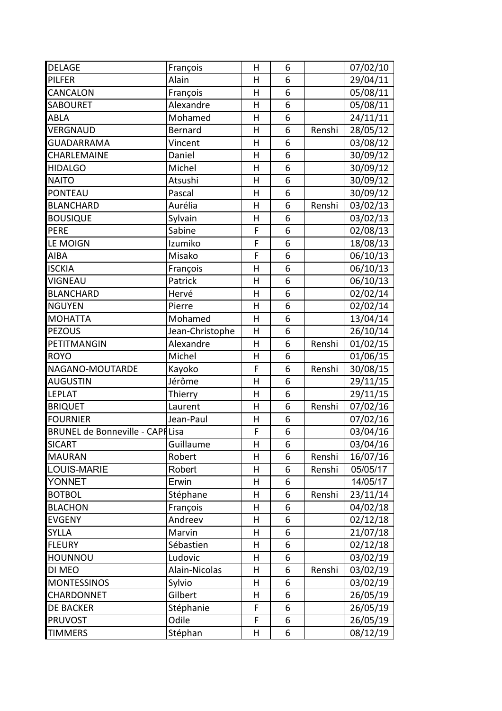| <b>DELAGE</b>                          | François        | Η                       | 6 |        | 07/02/10 |
|----------------------------------------|-----------------|-------------------------|---|--------|----------|
| <b>PILFER</b>                          | Alain           | Η                       | 6 |        | 29/04/11 |
| CANCALON                               | François        | Н                       | 6 |        | 05/08/11 |
| <b>SABOURET</b>                        | Alexandre       | Η                       | 6 |        | 05/08/11 |
| <b>ABLA</b>                            | Mohamed         | Н                       | 6 |        | 24/11/11 |
| VERGNAUD                               | Bernard         | H                       | 6 | Renshi | 28/05/12 |
| <b>GUADARRAMA</b>                      | Vincent         | Η                       | 6 |        | 03/08/12 |
| CHARLEMAINE                            | Daniel          | H                       | 6 |        | 30/09/12 |
| <b>HIDALGO</b>                         | Michel          | Η                       | 6 |        | 30/09/12 |
| <b>NAITO</b>                           | Atsushi         | H                       | 6 |        | 30/09/12 |
| PONTEAU                                | Pascal          | $\mathsf{H}$            | 6 |        | 30/09/12 |
| <b>BLANCHARD</b>                       | Aurélia         | H                       | 6 | Renshi | 03/02/13 |
| <b>BOUSIQUE</b>                        | Sylvain         | Η                       | 6 |        | 03/02/13 |
| PERE                                   | Sabine          | F                       | 6 |        | 02/08/13 |
| LE MOIGN                               | Izumiko         | F                       | 6 |        | 18/08/13 |
| <b>AIBA</b>                            | Misako          | F                       | 6 |        | 06/10/13 |
| <b>ISCKIA</b>                          | François        | Η                       | 6 |        | 06/10/13 |
| <b>VIGNEAU</b>                         | Patrick         | H                       | 6 |        | 06/10/13 |
| <b>BLANCHARD</b>                       | Hervé           | H                       | 6 |        | 02/02/14 |
| <b>NGUYEN</b>                          | Pierre          | $\overline{\mathsf{H}}$ | 6 |        | 02/02/14 |
| <b>MOHATTA</b>                         | Mohamed         | H                       | 6 |        | 13/04/14 |
| <b>PEZOUS</b>                          | Jean-Christophe | Н                       | 6 |        | 26/10/14 |
| PETITMANGIN                            | Alexandre       | $\mathsf{H}$            | 6 | Renshi | 01/02/15 |
| <b>ROYO</b>                            | Michel          | H                       | 6 |        | 01/06/15 |
| NAGANO-MOUTARDE                        | Kayoko          | F                       | 6 | Renshi | 30/08/15 |
| <b>AUGUSTIN</b>                        | Jérôme          | H                       | 6 |        | 29/11/15 |
| <b>LEPLAT</b>                          | Thierry         | H                       | 6 |        | 29/11/15 |
| <b>BRIQUET</b>                         | Laurent         | Η                       | 6 | Renshi | 07/02/16 |
| <b>FOURNIER</b>                        | Jean-Paul       | Η                       | 6 |        | 07/02/16 |
| <b>BRUNEL de Bonneville - CAPFLisa</b> |                 | F                       | 6 |        | 03/04/16 |
| <b>SICART</b>                          | Guillaume       | H                       | 6 |        | 03/04/16 |
| <b>MAURAN</b>                          | Robert          | н                       | 6 | Renshi | 16/07/16 |
| <b>LOUIS-MARIE</b>                     | Robert          | Н                       | 6 | Renshi | 05/05/17 |
| <b>YONNET</b>                          | Erwin           | Н                       | 6 |        | 14/05/17 |
| <b>BOTBOL</b>                          | Stéphane        | H                       | 6 | Renshi | 23/11/14 |
| <b>BLACHON</b>                         | François        | Н                       | 6 |        | 04/02/18 |
| <b>EVGENY</b>                          | Andreev         | H                       | 6 |        | 02/12/18 |
| <b>SYLLA</b>                           | Marvin          | H                       | 6 |        | 21/07/18 |
| <b>FLEURY</b>                          | Sébastien       | H                       | 6 |        | 02/12/18 |
| <b>HOUNNOU</b>                         | Ludovic         | Н                       | 6 |        | 03/02/19 |
| DI MEO                                 | Alain-Nicolas   | H                       | 6 | Renshi | 03/02/19 |
| <b>MONTESSINOS</b>                     | Sylvio          | Н                       | 6 |        | 03/02/19 |
| <b>CHARDONNET</b>                      | Gilbert         | Н                       | 6 |        | 26/05/19 |
| <b>DE BACKER</b>                       | Stéphanie       | F                       | 6 |        | 26/05/19 |
| <b>PRUVOST</b>                         | Odile           | F                       | 6 |        | 26/05/19 |
| <b>TIMMERS</b>                         | Stéphan         | Н                       | 6 |        | 08/12/19 |